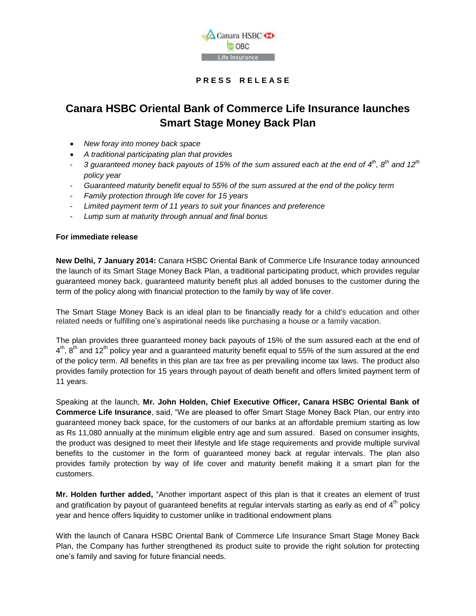

### **P R E S S R E L E A S E**

## **Canara HSBC Oriental Bank of Commerce Life Insurance launches Smart Stage Money Back Plan**

- *New foray into money back space*
- *A traditional participating plan that provides*
- 3 guaranteed money back payouts of 15% of the sum assured each at the end of 4<sup>th</sup>, 8<sup>th</sup> and 12<sup>th</sup> *policy year*
- *Guaranteed maturity benefit equal to 55% of the sum assured at the end of the policy term*
- *Family protection through life cover for 15 years*
- *Limited payment term of 11 years to suit your finances and preference*
- *Lump sum at maturity through annual and final bonus*

### **For immediate release**

**New Delhi, 7 January 2014:** Canara HSBC Oriental Bank of Commerce Life Insurance today announced the launch of its Smart Stage Money Back Plan, a traditional participating product, which provides regular guaranteed money back, guaranteed maturity benefit plus all added bonuses to the customer during the term of the policy along with financial protection to the family by way of life cover.

The Smart Stage Money Back is an ideal plan to be financially ready for a child's education and other related needs or fulfilling one's aspirational needs like purchasing a house or a family vacation.

The plan provides three guaranteed money back payouts of 15% of the sum assured each at the end of  $4^{\text{th}}$ , 8<sup>th</sup> and 12<sup>th</sup> policy year and a guaranteed maturity benefit equal to 55% of the sum assured at the end of the policy term. All benefits in this plan are tax free as per prevailing income tax laws. The product also provides family protection for 15 years through payout of death benefit and offers limited payment term of 11 years.

Speaking at the launch, **Mr. John Holden, Chief Executive Officer, Canara HSBC Oriental Bank of Commerce Life Insurance**, said, "We are pleased to offer Smart Stage Money Back Plan, our entry into guaranteed money back space, for the customers of our banks at an affordable premium starting as low as Rs 11,080 annually at the minimum eligible entry age and sum assured. Based on consumer insights, the product was designed to meet their lifestyle and life stage requirements and provide multiple survival benefits to the customer in the form of guaranteed money back at regular intervals. The plan also provides family protection by way of life cover and maturity benefit making it a smart plan for the customers.

**Mr. Holden further added,** "Another important aspect of this plan is that it creates an element of trust and gratification by payout of guaranteed benefits at regular intervals starting as early as end of  $4<sup>th</sup>$  policy year and hence offers liquidity to customer unlike in traditional endowment plans

With the launch of Canara HSBC Oriental Bank of Commerce Life Insurance Smart Stage Money Back Plan, the Company has further strengthened its product suite to provide the right solution for protecting one's family and saving for future financial needs.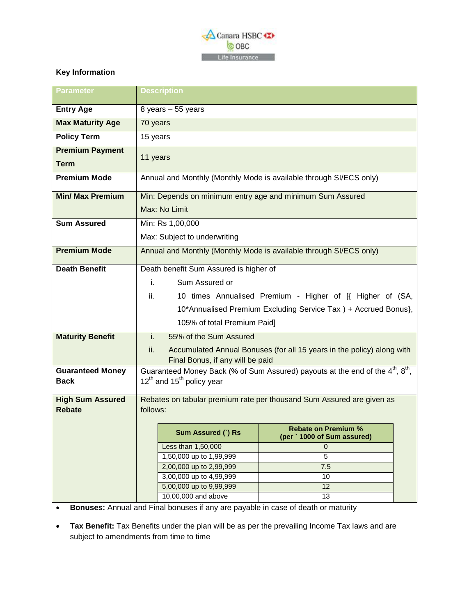

#### $\overline{a}$ **Key Information**

| <b>Parameter</b>        | <b>Description</b>                                                                                     |                                            |  |
|-------------------------|--------------------------------------------------------------------------------------------------------|--------------------------------------------|--|
| <b>Entry Age</b>        | 8 years - 55 years                                                                                     |                                            |  |
| <b>Max Maturity Age</b> | 70 years                                                                                               |                                            |  |
| <b>Policy Term</b>      | 15 years                                                                                               |                                            |  |
| <b>Premium Payment</b>  |                                                                                                        |                                            |  |
| <b>Term</b>             | 11 years                                                                                               |                                            |  |
| <b>Premium Mode</b>     | Annual and Monthly (Monthly Mode is available through SI/ECS only)                                     |                                            |  |
| <b>Min/ Max Premium</b> | Min: Depends on minimum entry age and minimum Sum Assured                                              |                                            |  |
|                         | Max: No Limit                                                                                          |                                            |  |
| <b>Sum Assured</b>      | Min: Rs 1,00,000                                                                                       |                                            |  |
|                         | Max: Subject to underwriting                                                                           |                                            |  |
| <b>Premium Mode</b>     | Annual and Monthly (Monthly Mode is available through SI/ECS only)                                     |                                            |  |
| <b>Death Benefit</b>    | Death benefit Sum Assured is higher of                                                                 |                                            |  |
|                         | i.<br>Sum Assured or                                                                                   |                                            |  |
|                         | ii.<br>10 times Annualised Premium - Higher of [{ Higher of (SA,                                       |                                            |  |
|                         | 10*Annualised Premium Excluding Service Tax ) + Accrued Bonus},                                        |                                            |  |
|                         | 105% of total Premium Paid]                                                                            |                                            |  |
| <b>Maturity Benefit</b> | i.<br>55% of the Sum Assured                                                                           |                                            |  |
|                         | ii.<br>Accumulated Annual Bonuses (for all 15 years in the policy) along with                          |                                            |  |
|                         | Final Bonus, if any will be paid                                                                       |                                            |  |
| <b>Guaranteed Money</b> | Guaranteed Money Back (% of Sum Assured) payouts at the end of the 4 <sup>th</sup> , 8 <sup>th</sup> , |                                            |  |
| <b>Back</b>             | $12^{th}$ and $15^{th}$ policy year                                                                    |                                            |  |
| <b>High Sum Assured</b> | Rebates on tabular premium rate per thousand Sum Assured are given as                                  |                                            |  |
| <b>Rebate</b>           | follows:                                                                                               |                                            |  |
|                         | Sum Assured () Rs                                                                                      | <b>Rebate on Premium %</b>                 |  |
|                         | Less than 1,50,000                                                                                     | (per ` 1000 of Sum assured)<br>$\mathbf 0$ |  |
|                         | 1,50,000 up to 1,99,999                                                                                | 5                                          |  |
|                         | 2,00,000 up to 2,99,999                                                                                | 7.5                                        |  |
|                         | 3,00,000 up to 4,99,999                                                                                | 10                                         |  |
|                         | 5,00,000 up to 9,99,999                                                                                | 12                                         |  |
|                         | 10,00,000 and above                                                                                    | 13                                         |  |

**Bonuses:** Annual and Final bonuses if any are payable in case of death or maturity

 **Tax Benefit:** Tax Benefits under the plan will be as per the prevailing Income Tax laws and are subject to amendments from time to time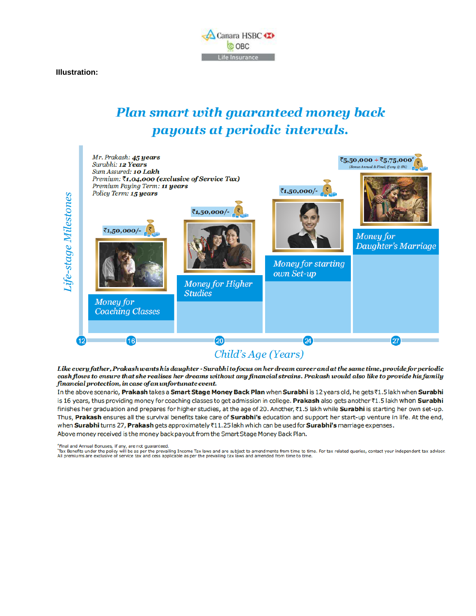

**Illustration:** 

# **Plan smart with guaranteed money back** payouts at periodic intervals.



Like every father, Prakashwants his daughter - Surabhito focus on her dream career and at the same time, provide for periodic cash flows to ensure that she realises her dreams without any financial strains. Prakash would also like to provide his family financial protection, in case of an unfortunate event.

In the above scenario, Prakash takes a Smart Stage Money Back Plan when Surabhi is 12 years old, he gets ₹1.5 lakh when Surabhi is 16 years, thus providing money for coaching classes to get admission in college. Prakash also gets another ₹1.5 lakh when Surabhi finishes her graduation and prepares for higher studies, at the age of 20. Another, ₹1.5 lakh while Surabhi is starting her own set-up. Thus, Prakash ensures all the survival benefits take care of Surabhi's education and support her start-up venture in life. At the end, when Surabhi turns 27, Prakash gets approximately ₹11.25 lakh which can be used for Surabhi's marriage expenses. Above money received is the money back payout from the Smart Stage Money Back Plan.

\*Final and Annual Bonuses, if any, are not guaranteed.

Tax Benefits under the policy will be as per the prevailing Income Tax laws and are subject to amendments from time to time. For tax related queries, contact your independent tax advisor.<br>All premiums are exclusive of serv